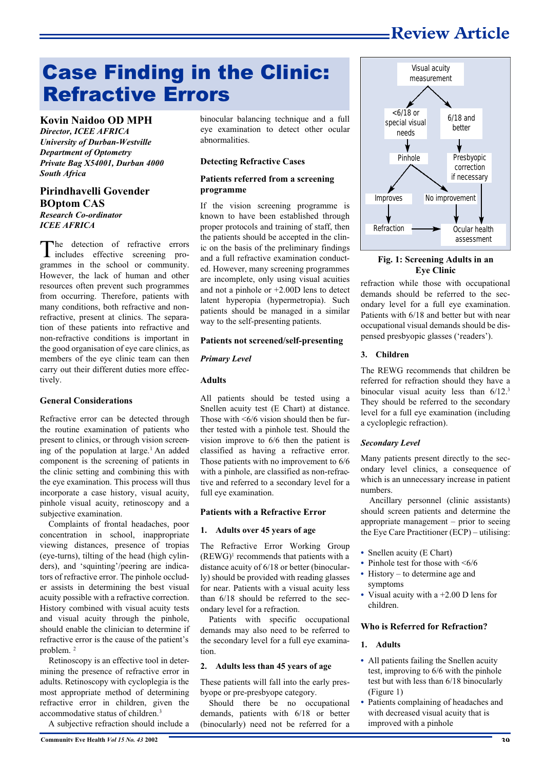### **Review Article**

# Case Finding in the Clinic: Refractive Errors

**Kovin Naidoo OD MPH** *Director, ICEE AFRICA University of Durban-Westville Department of Optometry Private Bag X54001, Durban 4000 South Africa*

#### **Pirindhavelli Govender BOptom CAS** *Research Co-ordinator ICEE AFRICA*

The detection of refractive errors<br>includes effective screening prohe detection of refractive errors grammes in the school or community. However, the lack of human and other resources often prevent such programmes from occurring. Therefore, patients with many conditions, both refractive and nonrefractive, present at clinics. The separation of these patients into refractive and non-refractive conditions is important in the good organisation of eye care clinics, as members of the eye clinic team can then carry out their different duties more effectively.

#### **General Considerations**

Refractive error can be detected through the routine examination of patients who present to clinics, or through vision screening of the population at large.<sup>1</sup> An added component is the screening of patients in the clinic setting and combining this with the eye examination. This process will thus incorporate a case history, visual acuity, pinhole visual acuity, retinoscopy and a subjective examination.

Complaints of frontal headaches, poor concentration in school, inappropriate viewing distances, presence of tropias (eye-turns), tilting of the head (high cylinders), and 'squinting'/peering are indicators of refractive error. The pinhole occluder assists in determining the best visual acuity possible with a refractive correction. History combined with visual acuity tests and visual acuity through the pinhole, should enable the clinician to determine if refractive error is the cause of the patient's problem. <sup>2</sup>

Retinoscopy is an effective tool in determining the presence of refractive error in adults. Retinoscopy with cycloplegia is the most appropriate method of determining refractive error in children, given the accommodative status of children.<sup>3</sup>

A subjective refraction should include a

binocular balancing technique and a full eye examination to detect other ocular abnormalities.

#### **Detecting Refractive Cases**

#### **Patients referred from a screening programme**

If the vision screening programme is known to have been established through proper protocols and training of staff, then the patients should be accepted in the clinic on the basis of the preliminary findings and a full refractive examination conducted. However, many screening programmes are incomplete, only using visual acuities and not a pinhole or +2.00D lens to detect latent hyperopia (hypermetropia). Such patients should be managed in a similar way to the self-presenting patients.

#### **Patients not screened/self-presenting**

#### *Primary Level*

#### **Adults**

All patients should be tested using a Snellen acuity test (E Chart) at distance. Those with  $\leq 6/6$  vision should then be further tested with a pinhole test. Should the vision improve to 6/6 then the patient is classified as having a refractive error. Those patients with no improvement to 6/6 with a pinhole, are classified as non-refractive and referred to a secondary level for a full eye examination.

#### **Patients with a Refractive Error**

#### **1. Adults over 45 years of age**

The Refractive Error Working Group  $(REWG)^1$  recommends that patients with a distance acuity of 6/18 or better (binocularly) should be provided with reading glasses for near. Patients with a visual acuity less than 6/18 should be referred to the secondary level for a refraction.

Patients with specific occupational demands may also need to be referred to the secondary level for a full eye examination.

#### **2. Adults less than 45 years of age**

These patients will fall into the early presbyope or pre-presbyope category.

Should there be no occupational demands, patients with 6/18 or better (binocularly) need not be referred for a



#### **Fig. 1: Screening Adults in an Eye Clinic**

refraction while those with occupational demands should be referred to the secondary level for a full eye examination. Patients with 6/18 and better but with near occupational visual demands should be dispensed presbyopic glasses ('readers').

#### **3. Children**

The REWG recommends that children be referred for refraction should they have a binocular visual acuity less than  $6/12$ .<sup>3</sup> They should be referred to the secondary level for a full eye examination (including a cycloplegic refraction).

#### *Secondary Level*

Many patients present directly to the secondary level clinics, a consequence of which is an unnecessary increase in patient numbers.

Ancillary personnel (clinic assistants) should screen patients and determine the appropriate management – prior to seeing the Eye Care Practitioner (ECP) – utilising:

- **•** Snellen acuity (E Chart)
- Pinhole test for those with <6/6
- History to determine age and symptoms
- **•** Visual acuity with a +2.00 D lens for children.

#### **Who is Referred for Refraction?**

#### **1. Adults**

- **•** All patients failing the Snellen acuity test, improving to 6/6 with the pinhole test but with less than 6/18 binocularly (Figure 1)
- **•** Patients complaining of headaches and with decreased visual acuity that is improved with a pinhole